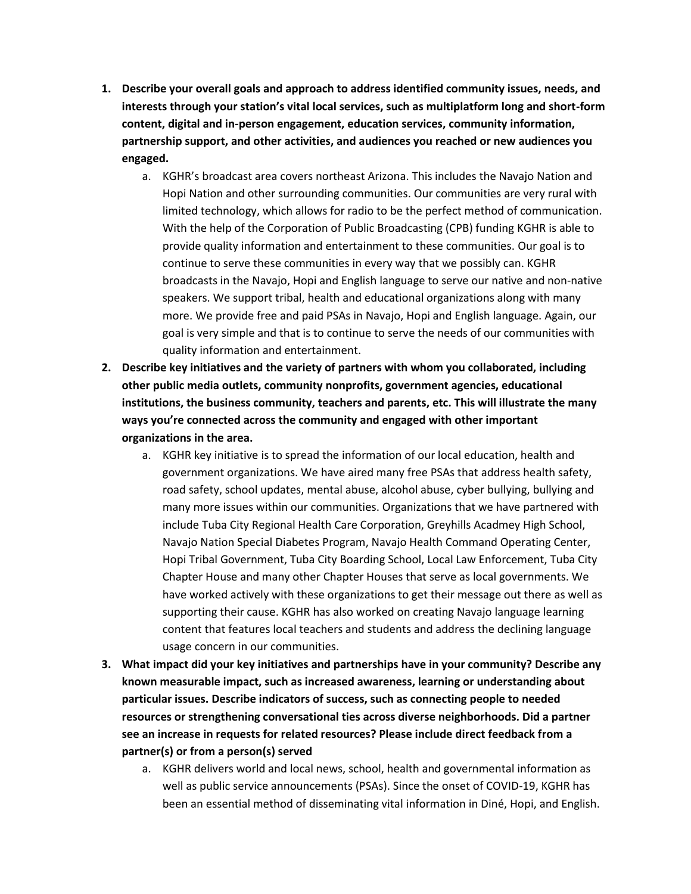- **1. Describe your overall goals and approach to address identified community issues, needs, and interests through your station's vital local services, such as multiplatform long and short-form content, digital and in-person engagement, education services, community information, partnership support, and other activities, and audiences you reached or new audiences you engaged.**
	- a. KGHR's broadcast area covers northeast Arizona. This includes the Navajo Nation and Hopi Nation and other surrounding communities. Our communities are very rural with limited technology, which allows for radio to be the perfect method of communication. With the help of the Corporation of Public Broadcasting (CPB) funding KGHR is able to provide quality information and entertainment to these communities. Our goal is to continue to serve these communities in every way that we possibly can. KGHR broadcasts in the Navajo, Hopi and English language to serve our native and non-native speakers. We support tribal, health and educational organizations along with many more. We provide free and paid PSAs in Navajo, Hopi and English language. Again, our goal is very simple and that is to continue to serve the needs of our communities with quality information and entertainment.
- **2. Describe key initiatives and the variety of partners with whom you collaborated, including other public media outlets, community nonprofits, government agencies, educational institutions, the business community, teachers and parents, etc. This will illustrate the many ways you're connected across the community and engaged with other important organizations in the area.**
	- a. KGHR key initiative is to spread the information of our local education, health and government organizations. We have aired many free PSAs that address health safety, road safety, school updates, mental abuse, alcohol abuse, cyber bullying, bullying and many more issues within our communities. Organizations that we have partnered with include Tuba City Regional Health Care Corporation, Greyhills Acadmey High School, Navajo Nation Special Diabetes Program, Navajo Health Command Operating Center, Hopi Tribal Government, Tuba City Boarding School, Local Law Enforcement, Tuba City Chapter House and many other Chapter Houses that serve as local governments. We have worked actively with these organizations to get their message out there as well as supporting their cause. KGHR has also worked on creating Navajo language learning content that features local teachers and students and address the declining language usage concern in our communities.
- **3. What impact did your key initiatives and partnerships have in your community? Describe any known measurable impact, such as increased awareness, learning or understanding about particular issues. Describe indicators of success, such as connecting people to needed resources or strengthening conversational ties across diverse neighborhoods. Did a partner see an increase in requests for related resources? Please include direct feedback from a partner(s) or from a person(s) served**
	- a. KGHR delivers world and local news, school, health and governmental information as well as public service announcements (PSAs). Since the onset of COVID-19, KGHR has been an essential method of disseminating vital information in Diné, Hopi, and English.